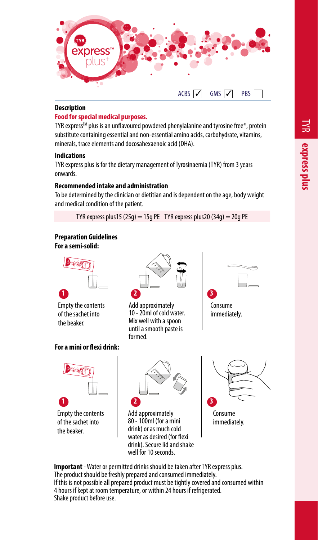

## **Description**

#### **Food for special medical purposes.**

TYR express™ plus is an unflavoured powdered phenylalanine and tyrosine free\*, protein substitute containing essential and non-essential amino acids, carbohydrate, vitamins, minerals, trace elements and docosahexaenoic acid (DHA).

#### **Indications**

TYR express plus is for the dietary management of Tyrosinaemia (TYR) from 3 years onwards.

## **Recommended intake and administration**

To be determined by the clinician or dietitian and is dependent on the age, body weight and medical condition of the patient.

TYR express plus 15 (25g) = 15g PE TYR express plus 20 (34g) = 20g PE

# **Preparation Guidelines**

**For a semi-solid:**



Empty the contents of the sachet into the beaker.

# **For a mini or flexi drink:**



Empty the contents of the sachet into the beaker.



Add approximately 10 - 20ml of cold water. Mix well with a spoon until a smooth paste is formed.





Add approximately 80 - 100ml (for a mini drink) or as much cold water as desired (for flexi drink). Secure lid and shake well for 10 seconds.



immediately.

**Important** - Water or permitted drinks should be taken after TYR express plus. The product should be freshly prepared and consumed immediately. If this is not possible all prepared product must be tightly covered and consumed within 4 hours if kept at room temperature, or within 24 hours if refrigerated. Shake product before use.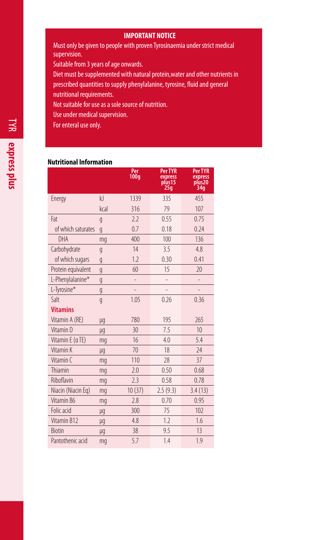## **IMPORTANT NOTICE**

Must only be given to people with proven Tyrosinaemia under strict medical supervision.

Suitable from 3 years of age onwards.

Diet must be supplemented with natural protein,water and other nutrients in prescribed quantities to supply phenylalanine, tyrosine, fluid and general nutritional requirements.

Not suitable for use as a sole source of nutrition.

Use under medical supervision.

For enteral use only.

## **Nutritional Information**

|                    |                | Per<br>100q    | <b>Per TYR</b><br>express<br>plus <sub>15</sub><br>25 <sub>g</sub> | <b>Per TYR</b><br>express<br>plus <sub>20</sub><br>34g |
|--------------------|----------------|----------------|--------------------------------------------------------------------|--------------------------------------------------------|
| Energy             | k              | 1339           | 335                                                                | 455                                                    |
|                    | kral           | 316            | 79                                                                 | 107                                                    |
| Fat                | $\overline{g}$ | 2.2            | 0.55                                                               | 0.75                                                   |
| of which saturates | $\overline{g}$ | 0.7            | 0.18                                                               | 0.24                                                   |
| DHA                | mq             | 400            | 100                                                                | 136                                                    |
| Carbohydrate       | g              | 14             | 3.5                                                                | 4.8                                                    |
| of which sugars    | g              | 1.7            | 0.30                                                               | 0.41                                                   |
| Protein equivalent | $\overline{g}$ | 60             | 15                                                                 | 20                                                     |
| L-Phenylalanine*   | g              | $\overline{a}$ | -                                                                  | -                                                      |
| L-Tyrosine*        | g              |                |                                                                    |                                                        |
| Salt               | g              | 1.05           | 0.26                                                               | 0.36                                                   |
| <b>Vitamins</b>    |                |                |                                                                    |                                                        |
| Vitamin A (RE)     | μg             | 780            | 195                                                                | 265                                                    |
| Vitamin D          | μg             | 30             | 7.5                                                                | 10                                                     |
| Vitamin E (aTE)    | mq             | 16             | 4.0                                                                | 5.4                                                    |
| Vitamin K          | μq             | 70             | 18                                                                 | 24                                                     |
| Vitamin (          | mq             | 110            | 28                                                                 | 37                                                     |
| Thiamin            | mq             | 2.0            | 0.50                                                               | 0.68                                                   |
| Riboflavin         | mq             | 2.3            | 0.58                                                               | 0.78                                                   |
| Niacin (Niacin Eg) | mg             | 10(37)         | 2.5(9.3)                                                           | 3.4(13)                                                |
| Vitamin B6         | mq             | 2.8            | 0.70                                                               | 0.95                                                   |
| Folic acid         | μg             | 300            | 75                                                                 | 102                                                    |
| Vitamin B12        | μg             | 4.8            | 1.2                                                                | 1.6                                                    |
| <b>Biotin</b>      | μg             | 38             | 9.5                                                                | 13                                                     |
| Pantothenic acid   | mq             | 5.7            | 1.4                                                                | 1.9                                                    |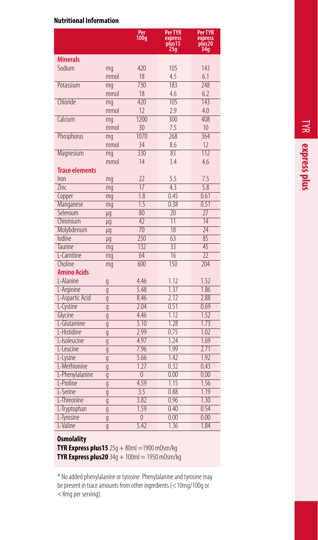# **Nutritional Information**

|                             |      | Per<br>100q            | Per TYR<br>express<br>plus15 | Per TYR<br>express<br>plus20 |
|-----------------------------|------|------------------------|------------------------------|------------------------------|
|                             |      |                        | 25g                          | 34g                          |
| <b>Minerals</b>             |      |                        |                              |                              |
| Sodium                      | mg   | 420                    | 105                          | 143                          |
|                             | mmol | 18                     | 4.5                          | 6.1                          |
| Potassium                   | mg   | 730                    | 183                          | 248                          |
|                             | mmol | 18                     | 4.6                          | 6.2                          |
| Chloride                    | mg   | 420                    | 105                          | 143                          |
|                             | mmol | 12                     | 2.9                          | 4.0                          |
| Calcium                     | mg   | 1200                   | 300                          | 408                          |
|                             | mmol | 30                     | 7.5                          | 10 <sup>10</sup>             |
| Phosphorus                  | mq   | 1070                   | 268                          | 364                          |
|                             | mmol | 34                     | 8.6                          | 12                           |
| Magnesium                   | mq   | 330                    | 83                           | 117                          |
|                             | mmol | 14                     | 3.4                          | 4.6                          |
| <b>Trace elements</b>       |      |                        |                              |                              |
| Iron                        | mg   | 22                     | 5.5                          | 7.5                          |
| Zinc                        | mg   | $\overline{17}$        | 43                           | 5.8                          |
| Copper                      | mq   | $\overline{1.8}$       | 0.45                         | 0.61                         |
| Manganese                   | mg   | 1.5                    | 0.38                         | 0.51                         |
| Selenium                    | μq   | 80                     | $\overline{20}$              | 77                           |
| Chromium                    | μg   | $\overline{47}$        | $\overline{11}$              | $\overline{14}$              |
| Molybdenum                  | μq   | $\overline{70}$        | $\overline{18}$              | 74                           |
| lodine                      | μq   | 250                    | 63                           | 85                           |
| <b>Taurine</b>              | mg   | 132                    | $\overline{33}$              | 45                           |
| L-Carnitine                 | mg   | 64                     | $\overline{16}$              | $\overline{22}$              |
| Choline <sup></sup>         | mg   | 600                    | 150                          | 704                          |
| <b>Amino Acids</b>          |      |                        |                              |                              |
| L-Alanine                   | g    | 4.46                   | 1.12                         | 1.52                         |
| L-Arginine                  | q    | 5.48                   | 1.37                         | 1.86                         |
| L-Aspartic Acid             | g    | 8.46                   | 7.12                         | 2.88                         |
| L-Cystine                   | g    | 7.04                   | 0.51                         | 0.69                         |
| Glycine                     | g    | 4.46                   | 1.12                         | 1.52                         |
| L-Glutamine                 | q    | 5.10                   | 1.28                         | 1.73                         |
| I-Histidine<br>L-Isoleucine | g    | 2.99<br>4.97           | 0.75<br>1.24                 | 1.02<br>1.69                 |
| L-Leucine                   | g    | 7.96                   | 1.99                         | 7.71                         |
|                             | g    |                        |                              | 1.92                         |
| L-Lysine                    | g    | 5.66                   | 1.42                         |                              |
| L-Methionine                | g    | 1.27<br>$\overline{0}$ | 0.32<br>0.00                 | 0.43<br>0.00                 |
| L-Phenylalanine             | g    |                        |                              |                              |
| L-Proline                   | g    | 4.59                   | 1.15                         | 1.56                         |
| L-Serine                    | g    | 3.5<br>3.82            | 0.88<br>0.96                 | 1.19<br>1.30                 |
| L-Threonine                 | g    |                        |                              | 0.54                         |
| L-Tryptophan                | g    | 1.59                   | 0.40                         |                              |
| L-Tyrosine                  | g    | $\overline{0}$         | 0.00                         | 0.00                         |
| L-Valine                    | q    | 5.42                   | 1.36                         | 1.84                         |

# **Osmolality**

**TYR Express plus15** 25g + 80ml = 1900 m0sm/kg **TYR Express plus20**  $34q + 100ml = 1950$  mOsm/kg

\* No added phenylalanine or tyrosine. Phenylalanine and tyrosine may be present in trace amounts from other ingredients (<10mg/100g or <4mg per serving).